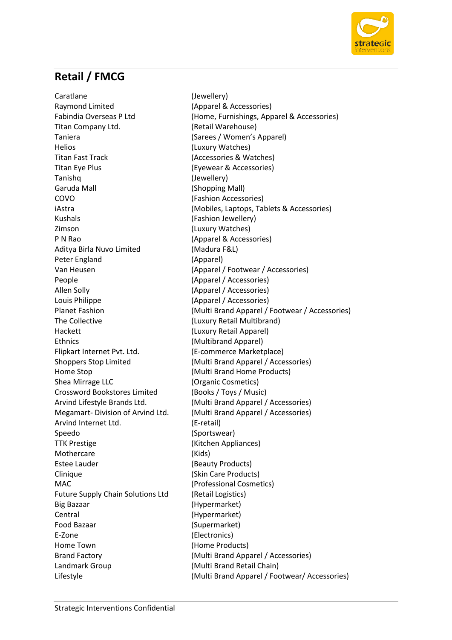

## **Retail / FMCG**

Caratlane (Jewellery) Raymond Limited (Apparel & Accessories) Titan Company Ltd. (Retail Warehouse) Taniera (Sarees / Women's Apparel) Helios (Luxury Watches) Titan Fast Track (Accessories & Watches) Titan Eye Plus (Eyewear & Accessories) Tanishq (Jewellery) Garuda Mall (Shopping Mall) COVO (Fashion Accessories) Kushals (Fashion Jewellery) Zimson (Luxury Watches) P N Rao (Apparel & Accessories) Aditya Birla Nuvo Limited (Madura F&L) Peter England (Apparel) People (Apparel / Accessories) Allen Solly (Apparel / Accessories) Louis Philippe (Apparel / Accessories) The Collective (Luxury Retail Multibrand) Hackett (Luxury Retail Apparel) Ethnics (Multibrand Apparel) Flipkart Internet Pvt. Ltd. (E-commerce Marketplace) Home Stop (Multi Brand Home Products) Shea Mirrage LLC (Organic Cosmetics) Crossword Bookstores Limited (Books / Toys / Music) Arvind Internet Ltd. (E-retail) Speedo (Sportswear) TTK Prestige (Kitchen Appliances) Mothercare (Kids) Estee Lauder (Beauty Products) Clinique (Skin Care Products) MAC (Professional Cosmetics) Future Supply Chain Solutions Ltd (Retail Logistics) Big Bazaar (Hypermarket) Central (Hypermarket) Food Bazaar (Supermarket) E-Zone (Electronics) Home Town (Home Products) Landmark Group (Multi Brand Retail Chain)

Fabindia Overseas P Ltd (Home, Furnishings, Apparel & Accessories) iAstra (Mobiles, Laptops, Tablets & Accessories) Van Heusen (Apparel / Footwear / Accessories) Planet Fashion (Multi Brand Apparel / Footwear / Accessories) Shoppers Stop Limited (Multi Brand Apparel / Accessories) Arvind Lifestyle Brands Ltd. (Multi Brand Apparel / Accessories) Megamart- Division of Arvind Ltd. (Multi Brand Apparel / Accessories) Brand Factory (Multi Brand Apparel / Accessories) Lifestyle (Multi Brand Apparel / Footwear/ Accessories)